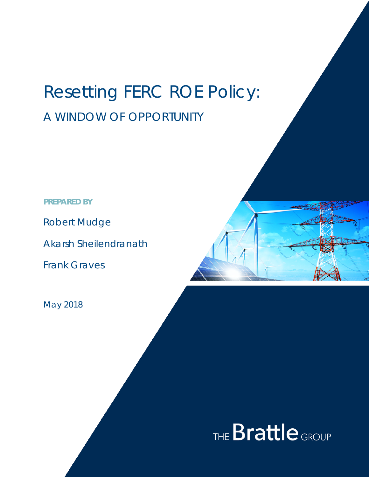# Resetting FERC ROE Policy: A WINDOW OF OPPORTUNITY

**PREPARED BY**

Robert Mudge

Akarsh Sheilendranath

Frank Graves

May 2018

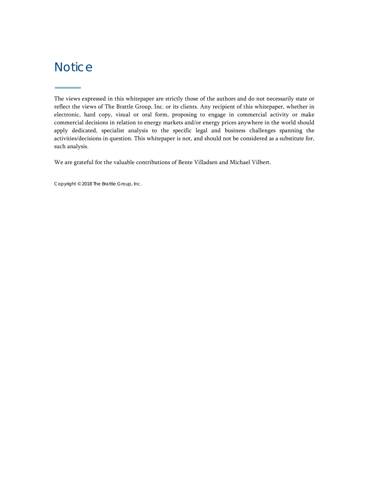## **Notice**

**–––––**

The views expressed in this whitepaper are strictly those of the authors and do not necessarily state or reflect the views of The Brattle Group, Inc. or its clients. Any recipient of this whitepaper, whether in electronic, hard copy, visual or oral form, proposing to engage in commercial activity or make commercial decisions in relation to energy markets and/or energy prices anywhere in the world should apply dedicated, specialist analysis to the specific legal and business challenges spanning the activities/decisions in question. This whitepaper is not, and should not be considered as a substitute for, such analysis.

We are grateful for the valuable contributions of Bente Villadsen and Michael Vilbert.

Copyright © 2018 The Brattle Group, Inc.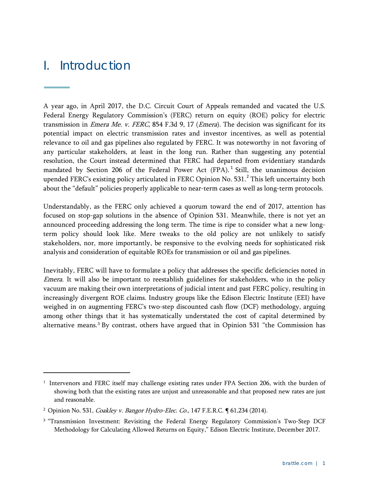## I. Introduction

**–––––**

 $\overline{a}$ 

A year ago, in April 2017, the D.C. Circuit Court of Appeals remanded and vacated the U.S. Federal Energy Regulatory Commission's (FERC) return on equity (ROE) policy for electric transmission in *Emera Me. v. FERC*, 854 F.3d 9, 17 (*Emera*). The decision was significant for its potential impact on electric transmission rates and investor incentives, as well as potential relevance to oil and gas pipelines also regulated by FERC. It was noteworthy in not favoring of any particular stakeholders, at least in the long run. Rather than suggesting any potential resolution, the Court instead determined that FERC had departed from evidentiary standards mandated by Section 206 of the Federal Power Act (FPA).<sup>[1](#page-2-0)</sup> Still, the unanimous decision upended FERC's existing policy articulated in FERC Opinion No. 531.<sup>[2](#page-2-1)</sup> This left uncertainty both about the "default" policies properly applicable to near-term cases as well as long-term protocols.

Understandably, as the FERC only achieved a quorum toward the end of 2017, attention has focused on stop-gap solutions in the absence of Opinion 531. Meanwhile, there is not yet an announced proceeding addressing the long term. The time is ripe to consider what a new longterm policy should look like. Mere tweaks to the old policy are not unlikely to satisfy stakeholders, nor, more importantly, be responsive to the evolving needs for sophisticated risk analysis and consideration of equitable ROEs for transmission or oil and gas pipelines.

Inevitably, FERC will have to formulate a policy that addresses the specific deficiencies noted in Emera. It will also be important to reestablish guidelines for stakeholders, who in the policy vacuum are making their own interpretations of judicial intent and past FERC policy, resulting in increasingly divergent ROE claims. Industry groups like the Edison Electric Institute (EEI) have weighed in on augmenting FERC's two-step discounted cash flow (DCF) methodology, arguing among other things that it has systematically understated the cost of capital determined by alternative means.[3](#page-2-2) By contrast, others have argued that in Opinion 531 "the Commission has

<span id="page-2-0"></span><sup>&</sup>lt;sup>1</sup> Intervenors and FERC itself may challenge existing rates under FPA Section 206, with the burden of showing both that the existing rates are unjust and unreasonable and that proposed new rates are just and reasonable.

<span id="page-2-1"></span><sup>&</sup>lt;sup>2</sup> Opinion No. 531, *Coakley v. Bangor Hydro-Elec. Co.*, 147 F.E.R.C. [61,234 (2014).

<span id="page-2-2"></span><sup>&</sup>lt;sup>3</sup> "Transmission Investment: Revisiting the Federal Energy Regulatory Commission's Two-Step DCF Methodology for Calculating Allowed Returns on Equity," Edison Electric Institute, December 2017.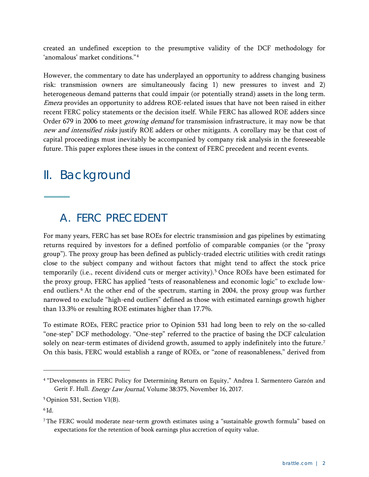created an undefined exception to the presumptive validity of the DCF methodology for 'anomalous' market conditions."[4](#page-3-0)

However, the commentary to date has underplayed an opportunity to address changing business risk: transmission owners are simultaneously facing 1) new pressures to invest and 2) heterogeneous demand patterns that could impair (or potentially strand) assets in the long term. Emera provides an opportunity to address ROE-related issues that have not been raised in either recent FERC policy statements or the decision itself. While FERC has allowed ROE adders since Order 679 in 2006 to meet *growing demand* for transmission infrastructure, it may now be that new and intensified risks justify ROE adders or other mitigants. A corollary may be that cost of capital proceedings must inevitably be accompanied by company risk analysis in the foreseeable future. This paper explores these issues in the context of FERC precedent and recent events.

## II. Background

**–––––**

### A. FERC PRECEDENT

For many years, FERC has set base ROEs for electric transmission and gas pipelines by estimating returns required by investors for a defined portfolio of comparable companies (or the "proxy group"). The proxy group has been defined as publicly-traded electric utilities with credit ratings close to the subject company and without factors that might tend to affect the stock price temporarily (i.e., recent dividend cuts or merger activity).<sup>[5](#page-3-1)</sup> Once ROEs have been estimated for the proxy group, FERC has applied "tests of reasonableness and economic logic" to exclude low-end outliers.<sup>[6](#page-3-2)</sup> At the other end of the spectrum, starting in 2004, the proxy group was further narrowed to exclude "high-end outliers" defined as those with estimated earnings growth higher than 13.3% or resulting ROE estimates higher than 17.7%.

To estimate ROEs, FERC practice prior to Opinion 531 had long been to rely on the so-called "one-step" DCF methodology. "One-step" referred to the practice of basing the DCF calculation solely on near-term estimates of dividend growth, assumed to apply indefinitely into the future.<sup>[7](#page-3-3)</sup> On this basis, FERC would establish a range of ROEs, or "zone of reasonableness," derived from

<span id="page-3-0"></span><sup>4</sup> "Developments in FERC Policy for Determining Return on Equity," Andrea I. Sarmentero Garzón and Gerit F. Hull. Energy Law Journal, Volume 38:375, November 16, 2017.

<span id="page-3-1"></span><sup>5</sup> Opinion 531, Section VI(B).

<span id="page-3-2"></span> $6$  Id.

<span id="page-3-3"></span><sup>7</sup> The FERC would moderate near-term growth estimates using a "sustainable growth formula" based on expectations for the retention of book earnings plus accretion of equity value.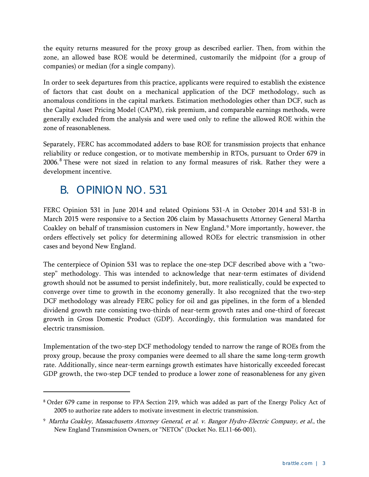the equity returns measured for the proxy group as described earlier. Then, from within the zone, an allowed base ROE would be determined, customarily the midpoint (for a group of companies) or median (for a single company).

In order to seek departures from this practice, applicants were required to establish the existence of factors that cast doubt on a mechanical application of the DCF methodology, such as anomalous conditions in the capital markets. Estimation methodologies other than DCF, such as the Capital Asset Pricing Model (CAPM), risk premium, and comparable earnings methods, were generally excluded from the analysis and were used only to refine the allowed ROE within the zone of reasonableness.

Separately, FERC has accommodated adders to base ROE for transmission projects that enhance reliability or reduce congestion, or to motivate membership in RTOs, pursuant to Order 679 in 2006.<sup>[8](#page-4-0)</sup> These were not sized in relation to any formal measures of risk. Rather they were a development incentive.

## B. OPINION NO. 531

 $\overline{a}$ 

FERC Opinion 531 in June 2014 and related Opinions 531-A in October 2014 and 531-B in March 2015 were responsive to a Section 206 claim by Massachusetts Attorney General Martha Coakley on behalf of transmission customers in New England.[9](#page-4-1) More importantly, however, the orders effectively set policy for determining allowed ROEs for electric transmission in other cases and beyond New England.

The centerpiece of Opinion 531 was to replace the one-step DCF described above with a "twostep" methodology. This was intended to acknowledge that near-term estimates of dividend growth should not be assumed to persist indefinitely, but, more realistically, could be expected to converge over time to growth in the economy generally. It also recognized that the two-step DCF methodology was already FERC policy for oil and gas pipelines, in the form of a blended dividend growth rate consisting two-thirds of near-term growth rates and one-third of forecast growth in Gross Domestic Product (GDP). Accordingly, this formulation was mandated for electric transmission.

Implementation of the two-step DCF methodology tended to narrow the range of ROEs from the proxy group, because the proxy companies were deemed to all share the same long-term growth rate. Additionally, since near-term earnings growth estimates have historically exceeded forecast GDP growth, the two-step DCF tended to produce a lower zone of reasonableness for any given

<span id="page-4-0"></span><sup>8</sup> Order 679 came in response to FPA Section 219, which was added as part of the Energy Policy Act of 2005 to authorize rate adders to motivate investment in electric transmission.

<span id="page-4-1"></span><sup>9</sup> Martha Coakley, Massachusetts Attorney General, et al. v. Bangor Hydro-Electric Company, et al., the New England Transmission Owners, or "NETOs" (Docket No. EL11-66-001).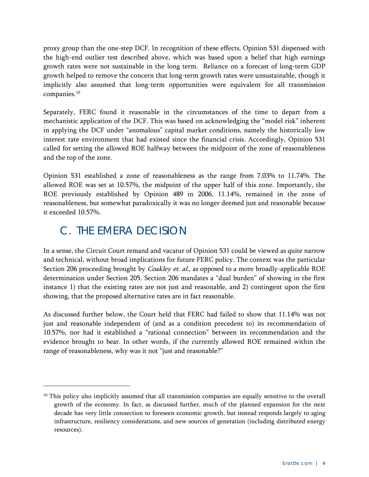proxy group than the one-step DCF. In recognition of these effects, Opinion 531 dispensed with the high-end outlier test described above, which was based upon a belief that high earnings growth rates were not sustainable in the long term. Reliance on a forecast of long-term GDP growth helped to remove the concern that long-term growth rates were unsustainable, though it implicitly also assumed that long-term opportunities were equivalent for all transmission companies.[10](#page-5-0)

Separately, FERC found it reasonable in the circumstances of the time to depart from a mechanistic application of the DCF. This was based on acknowledging the "model risk" inherent in applying the DCF under "anomalous" capital market conditions, namely the historically low interest rate environment that had existed since the financial crisis. Accordingly, Opinion 531 called for setting the allowed ROE halfway between the midpoint of the zone of reasonableness and the top of the zone.

Opinion 531 established a zone of reasonableness as the range from 7.03% to 11.74%. The allowed ROE was set at 10.57%, the midpoint of the upper half of this zone. Importantly, the ROE previously established by Opinion 489 in 2006, 11.14%, remained in the zone of reasonableness, but somewhat paradoxically it was no longer deemed just and reasonable because it exceeded 10.57%.

## C. THE *EMERA* DECISION

 $\overline{a}$ 

In a sense, the Circuit Court remand and vacatur of Opinion 531 could be viewed as quite narrow and technical, without broad implications for future FERC policy. The context was the particular Section 206 proceeding brought by *Coakley et. al.*, as opposed to a more broadly-applicable ROE determination under Section 205. Section 206 mandates a "dual burden" of showing in the first instance 1) that the existing rates are not just and reasonable, and 2) contingent upon the first showing, that the proposed alternative rates are in fact reasonable.

As discussed further below, the Court held that FERC had failed to show that 11.14% was not just and reasonable independent of (and as a condition precedent to) its recommendation of 10.57%, nor had it established a "rational connection" between its recommendation and the evidence brought to bear. In other words, if the currently allowed ROE remained within the range of reasonableness, why was it not "just and reasonable?"

<span id="page-5-0"></span><sup>&</sup>lt;sup>10</sup> This policy also implicitly assumed that all transmission companies are equally sensitive to the overall growth of the economy. In fact, as discussed further, much of the planned expansion for the next decade has very little connection to foreseen economic growth, but instead responds largely to aging infrastructure, resiliency considerations, and new sources of generation (including distributed energy resources).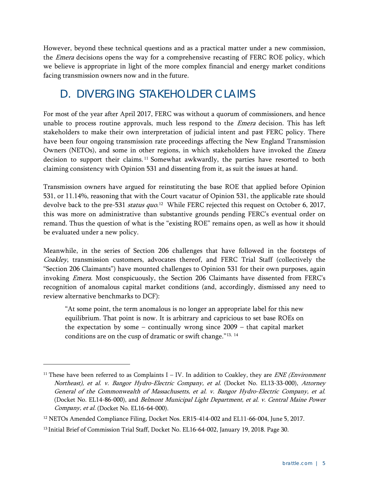However, beyond these technical questions and as a practical matter under a new commission, the *Emera* decisions opens the way for a comprehensive recasting of FERC ROE policy, which we believe is appropriate in light of the more complex financial and energy market conditions facing transmission owners now and in the future.

## D. DIVERGING STAKEHOLDER CLAIMS

For most of the year after April 2017, FERC was without a quorum of commissioners, and hence unable to process routine approvals, much less respond to the *Emera* decision. This has left stakeholders to make their own interpretation of judicial intent and past FERC policy. There have been four ongoing transmission rate proceedings affecting the New England Transmission Owners (NETOs), and some in other regions, in which stakeholders have invoked the *Emera* decision to support their claims. [11](#page-6-0) Somewhat awkwardly, the parties have resorted to both claiming consistency with Opinion 531 and dissenting from it, as suit the issues at hand.

Transmission owners have argued for reinstituting the base ROE that applied before Opinion 531, or 11.14%, reasoning that with the Court vacatur of Opinion 531, the applicable rate should devolve back to the pre-531 *status quo*.<sup>12</sup> While FERC rejected this request on October 6, 2017, this was more on administrative than substantive grounds pending FERC's eventual order on remand. Thus the question of what is the "existing ROE" remains open, as well as how it should be evaluated under a new policy.

Meanwhile, in the series of Section 206 challenges that have followed in the footsteps of Coakley, transmission customers, advocates thereof, and FERC Trial Staff (collectively the "Section 206 Claimants") have mounted challenges to Opinion 531 for their own purposes, again invoking Emera. Most conspicuously, the Section 206 Claimants have dissented from FERC's recognition of anomalous capital market conditions (and, accordingly, dismissed any need to review alternative benchmarks to DCF):

"At some point, the term anomalous is no longer an appropriate label for this new equilibrium. That point is now. It is arbitrary and capricious to set base ROEs on the expectation by some – continually wrong since 2009 – that capital market conditions are on the cusp of dramatic or swift change."[13](#page-6-2), [14](#page-6-3)

<span id="page-6-3"></span><span id="page-6-0"></span><sup>&</sup>lt;sup>11</sup> These have been referred to as Complaints  $I – IV$ . In addition to Coakley, they are *ENE (Environment*) Northeast), et al. v. Bangor Hydro-Electric Company, et al. (Docket No. EL13-33-000), Attorney General of the Commonwealth of Massachusetts, et al. v. Bangor Hydro-Electric Company, et al. (Docket No. EL14-86-000), and Belmont Municipal Light Department, et al. v. Central Maine Power Company, et al. (Docket No. EL16-64-000).

<span id="page-6-1"></span><sup>&</sup>lt;sup>12</sup> NETOs Amended Compliance Filing, Docket Nos. ER15-414-002 and EL11-66-004, June 5, 2017.

<span id="page-6-2"></span><sup>&</sup>lt;sup>13</sup> Initial Brief of Commission Trial Staff, Docket No. EL16-64-002, January 19, 2018. Page 30.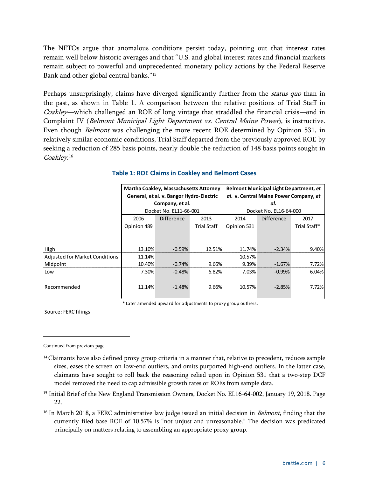The NETOs argue that anomalous conditions persist today, pointing out that interest rates remain well below historic averages and that "U.S. and global interest rates and financial markets remain subject to powerful and unprecedented monetary policy actions by the Federal Reserve Bank and other global central banks."[15](#page-7-0)

Perhaps unsurprisingly, claims have diverged significantly further from the *status quo* than in the past, as shown in Table 1. A comparison between the relative positions of Trial Staff in Coakley—which challenged an ROE of long vintage that straddled the financial crisis—and in Complaint IV (Belmont Municipal Light Department vs. Central Maine Power), is instructive. Even though *Belmont* was challenging the more recent ROE determined by Opinion 531, in relatively similar economic conditions, Trial Staff departed from the previously approved ROE by seeking a reduction of 285 basis points, nearly double the reduction of 148 basis points sought in Coakley.<sup>[16](#page-7-1)</sup>

|                                       | <b>Martha Coakley, Massachusetts Attorney</b><br>General, et al. v. Bangor Hydro-Electric<br>Company, et al.<br>Docket No. EL11-66-001 |                   |                    | <b>Belmont Municipal Light Department, et</b><br>al. v. Central Maine Power Company, et<br>al. |            |              |
|---------------------------------------|----------------------------------------------------------------------------------------------------------------------------------------|-------------------|--------------------|------------------------------------------------------------------------------------------------|------------|--------------|
|                                       |                                                                                                                                        |                   |                    |                                                                                                |            |              |
|                                       |                                                                                                                                        |                   |                    |                                                                                                |            |              |
|                                       |                                                                                                                                        |                   |                    | Docket No. EL16-64-000                                                                         |            |              |
|                                       | 2006                                                                                                                                   | <b>Difference</b> | 2013               | 2014                                                                                           | Difference | 2017         |
|                                       | Opinion 489                                                                                                                            |                   | <b>Trial Staff</b> | Opinion 531                                                                                    |            | Trial Staff* |
|                                       |                                                                                                                                        |                   |                    |                                                                                                |            |              |
|                                       |                                                                                                                                        |                   |                    |                                                                                                |            |              |
| High                                  | 13.10%                                                                                                                                 | $-0.59%$          | 12.51%             | 11.74%                                                                                         | $-2.34%$   | 9.40%        |
| <b>Adjusted for Market Conditions</b> | 11.14%                                                                                                                                 |                   |                    | 10.57%                                                                                         |            |              |
| Midpoint                              | 10.40%                                                                                                                                 | $-0.74%$          | 9.66%              | 9.39%                                                                                          | $-1.67%$   | 7.72%        |
| Low                                   | 7.30%                                                                                                                                  | $-0.48%$          | 6.82%              | 7.03%                                                                                          | $-0.99\%$  | 6.04%        |
|                                       |                                                                                                                                        |                   |                    |                                                                                                |            |              |
| Recommended                           | 11.14%                                                                                                                                 | $-1.48%$          | 9.66%              | 10.57%                                                                                         | $-2.85%$   | 7.72%        |
|                                       |                                                                                                                                        |                   |                    |                                                                                                |            |              |

#### **Table 1: ROE Claims in Coakley and Belmont Cases**

\* Later amended upward for adjustments to proxy group outliers.

Source: FERC filings

- <span id="page-7-0"></span><sup>15</sup> Initial Brief of the New England Transmission Owners, Docket No. EL16-64-002, January 19, 2018. Page 22.
- <span id="page-7-1"></span><sup>16</sup> In March 2018, a FERC administrative law judge issued an initial decision in *Belmont*, finding that the currently filed base ROE of 10.57% is "not unjust and unreasonable." The decision was predicated principally on matters relating to assembling an appropriate proxy group.

Continued from previous page

<sup>&</sup>lt;sup>14</sup> Claimants have also defined proxy group criteria in a manner that, relative to precedent, reduces sample sizes, eases the screen on low-end outliers, and omits purported high-end outliers. In the latter case, claimants have sought to roll back the reasoning relied upon in Opinion 531 that a two-step DCF model removed the need to cap admissible growth rates or ROEs from sample data.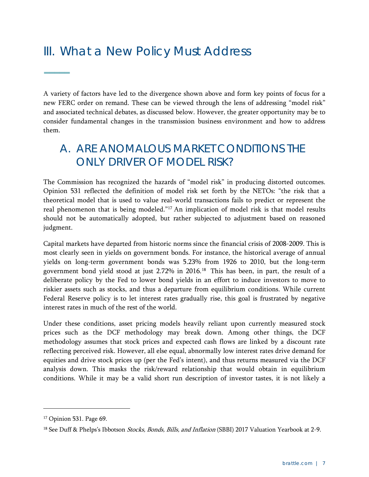## III. What a New Policy Must Address

A variety of factors have led to the divergence shown above and form key points of focus for a new FERC order on remand. These can be viewed through the lens of addressing "model risk" and associated technical debates, as discussed below. However, the greater opportunity may be to consider fundamental changes in the transmission business environment and how to address them.

## A. ARE ANOMALOUS MARKET CONDITIONS THE ONLY DRIVER OF MODEL RISK?

The Commission has recognized the hazards of "model risk" in producing distorted outcomes. Opinion 531 reflected the definition of model risk set forth by the NETOs: "the risk that a theoretical model that is used to value real-world transactions fails to predict or represent the real phenomenon that is being modeled."[17](#page-8-0) An implication of model risk is that model results should not be automatically adopted, but rather subjected to adjustment based on reasoned judgment.

Capital markets have departed from historic norms since the financial crisis of 2008-2009. This is most clearly seen in yields on government bonds. For instance, the historical average of annual yields on long-term government bonds was 5.23% from 1926 to 2010, but the long-term government bond yield stood at just 2.72% in 2016. [18](#page-8-1) This has been, in part, the result of a deliberate policy by the Fed to lower bond yields in an effort to induce investors to move to riskier assets such as stocks, and thus a departure from equilibrium conditions. While current Federal Reserve policy is to let interest rates gradually rise, this goal is frustrated by negative interest rates in much of the rest of the world.

Under these conditions, asset pricing models heavily reliant upon currently measured stock prices such as the DCF methodology may break down. Among other things, the DCF methodology assumes that stock prices and expected cash flows are linked by a discount rate reflecting perceived risk. However, all else equal, abnormally low interest rates drive demand for equities and drive stock prices up (per the Fed's intent), and thus returns measured via the DCF analysis down. This masks the risk/reward relationship that would obtain in equilibrium conditions. While it may be a valid short run description of investor tastes, it is not likely a

 $\overline{a}$ 

**–––––**

<span id="page-8-0"></span><sup>17</sup> Opinion 531. Page 69.

<span id="page-8-1"></span><sup>&</sup>lt;sup>18</sup> See Duff & Phelps's Ibbotson Stocks, Bonds, Bills, and Inflation (SBBI) 2017 Valuation Yearbook at 2-9.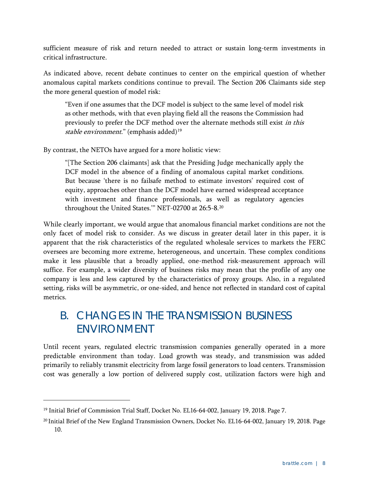sufficient measure of risk and return needed to attract or sustain long-term investments in critical infrastructure.

As indicated above, recent debate continues to center on the empirical question of whether anomalous capital markets conditions continue to prevail. The Section 206 Claimants side step the more general question of model risk:

"Even if one assumes that the DCF model is subject to the same level of model risk as other methods, with that even playing field all the reasons the Commission had previously to prefer the DCF method over the alternate methods still exist in this stable environment." (emphasis added)<sup>[19](#page-9-0)</sup>

By contrast, the NETOs have argued for a more holistic view:

"[The Section 206 claimants] ask that the Presiding Judge mechanically apply the DCF model in the absence of a finding of anomalous capital market conditions. But because 'there is no failsafe method to estimate investors' required cost of equity, approaches other than the DCF model have earned widespread acceptance with investment and finance professionals, as well as regulatory agencies throughout the United States.'" NET-02700 at 26:5-8.[20](#page-9-1)

While clearly important, we would argue that anomalous financial market conditions are not the only facet of model risk to consider. As we discuss in greater detail later in this paper, it is apparent that the risk characteristics of the regulated wholesale services to markets the FERC oversees are becoming more extreme, heterogeneous, and uncertain. These complex conditions make it less plausible that a broadly applied, one-method risk-measurement approach will suffice. For example, a wider diversity of business risks may mean that the profile of any one company is less and less captured by the characteristics of proxy groups. Also, in a regulated setting, risks will be asymmetric, or one-sided, and hence not reflected in standard cost of capital metrics.

## B. CHANGES IN THE TRANSMISSION BUSINESS ENVIRONMENT

Until recent years, regulated electric transmission companies generally operated in a more predictable environment than today. Load growth was steady, and transmission was added primarily to reliably transmit electricity from large fossil generators to load centers. Transmission cost was generally a low portion of delivered supply cost, utilization factors were high and

<span id="page-9-0"></span><sup>&</sup>lt;sup>19</sup> Initial Brief of Commission Trial Staff, Docket No. EL16-64-002, January 19, 2018. Page 7.

<span id="page-9-1"></span><sup>20</sup> Initial Brief of the New England Transmission Owners, Docket No. EL16-64-002, January 19, 2018. Page 10.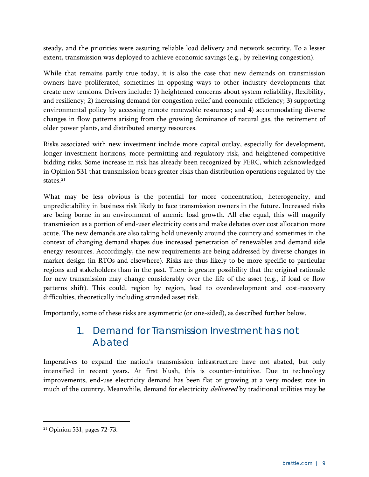steady, and the priorities were assuring reliable load delivery and network security. To a lesser extent, transmission was deployed to achieve economic savings (e.g., by relieving congestion).

While that remains partly true today, it is also the case that new demands on transmission owners have proliferated, sometimes in opposing ways to other industry developments that create new tensions. Drivers include: 1) heightened concerns about system reliability, flexibility, and resiliency; 2) increasing demand for congestion relief and economic efficiency; 3) supporting environmental policy by accessing remote renewable resources; and 4) accommodating diverse changes in flow patterns arising from the growing dominance of natural gas, the retirement of older power plants, and distributed energy resources.

Risks associated with new investment include more capital outlay, especially for development, longer investment horizons, more permitting and regulatory risk, and heightened competitive bidding risks. Some increase in risk has already been recognized by FERC, which acknowledged in Opinion 531 that transmission bears greater risks than distribution operations regulated by the states.<sup>[21](#page-10-0)</sup>

What may be less obvious is the potential for more concentration, heterogeneity, and unpredictability in business risk likely to face transmission owners in the future. Increased risks are being borne in an environment of anemic load growth. All else equal, this will magnify transmission as a portion of end-user electricity costs and make debates over cost allocation more acute. The new demands are also taking hold unevenly around the country and sometimes in the context of changing demand shapes due increased penetration of renewables and demand side energy resources. Accordingly, the new requirements are being addressed by diverse changes in market design (in RTOs and elsewhere). Risks are thus likely to be more specific to particular regions and stakeholders than in the past. There is greater possibility that the original rationale for new transmission may change considerably over the life of the asset (e.g., if load or flow patterns shift). This could, region by region, lead to overdevelopment and cost-recovery difficulties, theoretically including stranded asset risk.

Importantly, some of these risks are asymmetric (or one-sided), as described further below.

#### 1. Demand for Transmission Investment has not Abated

Imperatives to expand the nation's transmission infrastructure have not abated, but only intensified in recent years. At first blush, this is counter-intuitive. Due to technology improvements, end-use electricity demand has been flat or growing at a very modest rate in much of the country. Meanwhile, demand for electricity *delivered* by traditional utilities may be

<span id="page-10-0"></span> <sup>21</sup> Opinion 531, pages 72-73.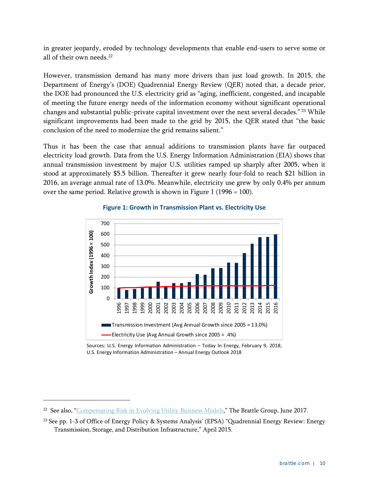in greater jeopardy, eroded by technology developments that enable end-users to serve some or all of their own needs.<sup>[22](#page-11-0)</sup>

However, transmission demand has many more drivers than just load growth. In 2015, the Department of Energy's (DOE) Quadrennial Energy Review (QER) noted that, a decade prior, the DOE had pronounced the U.S. electricity grid as "aging, inefficient, congested, and incapable of meeting the future energy needs of the information economy without significant operational changes and substantial public-private capital investment over the next several decades." [23](#page-11-1) While significant improvements had been made to the grid by 2015, the QER stated that "the basic conclusion of the need to modernize the grid remains salient."

Thus it has been the case that annual additions to transmission plants have far outpaced electricity load growth. Data from the U.S. Energy Information Administration (EIA) shows that annual transmission investment by major U.S. utilities ramped up sharply after 2005, when it stood at approximately \$5.5 billion. Thereafter it grew nearly four-fold to reach \$21 billion in 2016, an average annual rate of 13.0%. Meanwhile, electricity use grew by only 0.4% per annum over the same period. Relative growth is shown in Figure 1 (1996 = 100).



#### **Figure 1: Growth in Transmission Plant vs. Electricity Use**

Sources: U.S. Energy Information Administration – Today In Energy, February 9, 2018;<br>... U.S. Energy Information Administration – Annual Energy Outlook 2018

<span id="page-11-0"></span><sup>&</sup>lt;sup>22</sup> See also, ["Compensating Risk in Evolving Utility Business Models,](http://files.brattle.com/system/publications/pdfs/000/005/491/original/compensating_risk_in_evolving_utility_business_models_august_2017.pdf?1504189342)" The Brattle Group, June 2017.

<span id="page-11-1"></span><sup>23</sup> See pp. 1-3 of Office of Energy Policy & Systems Analysis' (EPSA) ["Quadrennial Energy Review: Energy](https://www.energy.gov/sites/prod/files/2015/07/f24/QER%20Full%20Report_TS%26D%20April%202015_0.pdf)  [Transmission, Storage, and Distribution Infrastructure,](https://www.energy.gov/sites/prod/files/2015/07/f24/QER%20Full%20Report_TS%26D%20April%202015_0.pdf)" April 2015.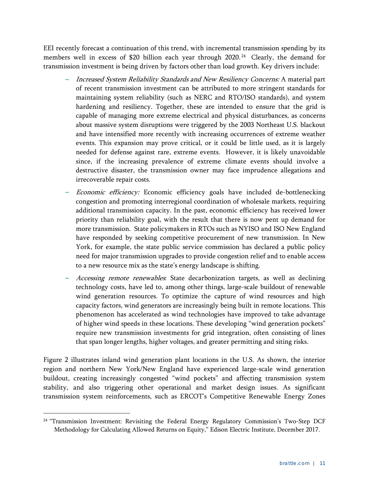EEI recently forecast a continuation of this trend, with incremental transmission spending by its members well in excess of \$20 billion each year through 2020.<sup>[24](#page-12-0)</sup> Clearly, the demand for transmission investment is being driven by factors other than load growth. Key drivers include:

- **--** Increased System Reliability Standards and New Resiliency Concerns: A material part of recent transmission investment can be attributed to more stringent standards for maintaining system reliability (such as NERC and RTO/ISO standards), and system hardening and resiliency. Together, these are intended to ensure that the grid is capable of managing more extreme electrical and physical disturbances, as concerns about massive system disruptions were triggered by the 2003 Northeast U.S. blackout and have intensified more recently with increasing occurrences of extreme weather events. This expansion may prove critical, or it could be little used, as it is largely needed for defense against rare, extreme events. However, it is likely unavoidable since, if the increasing prevalence of extreme climate events should involve a destructive disaster, the transmission owner may face imprudence allegations and irrecoverable repair costs.
- **--** Economic efficiency: Economic efficiency goals have included de-bottlenecking congestion and promoting interregional coordination of wholesale markets, requiring additional transmission capacity. In the past, economic efficiency has received lower priority than reliability goal, with the result that there is now pent up demand for more transmission. State policymakers in RTOs such as NYISO and ISO New England have responded by seeking competitive procurement of new transmission. In New York, for example, the state public service commission has declared a public policy need for major transmission upgrades to provide congestion relief and to enable access to a new resource mix as the state's energy landscape is shifting.
- Accessing remote renewables. State decarbonization targets, as well as declining technology costs, have led to, among other things, large-scale buildout of renewable wind generation resources. To optimize the capture of wind resources and high capacity factors, wind generators are increasingly being built in remote locations. This phenomenon has accelerated as wind technologies have improved to take advantage of higher wind speeds in these locations. These developing "wind generation pockets" require new transmission investments for grid integration, often consisting of lines that span longer lengths, higher voltages, and greater permitting and siting risks.

Figure 2 illustrates inland wind generation plant locations in the U.S. As shown, the interior region and northern New York/New England have experienced large-scale wind generation buildout, creating increasingly congested "wind pockets" and affecting transmission system stability, and also triggering other operational and market design issues. As significant transmission system reinforcements, such as ERCOT's Competitive Renewable Energy Zones

<span id="page-12-0"></span><sup>&</sup>lt;sup>24</sup> "Transmission Investment: Revisiting the Federal Energy Regulatory Commission's Two-Step DCF Methodology for Calculating Allowed Returns on Equity," Edison Electric Institute, December 2017.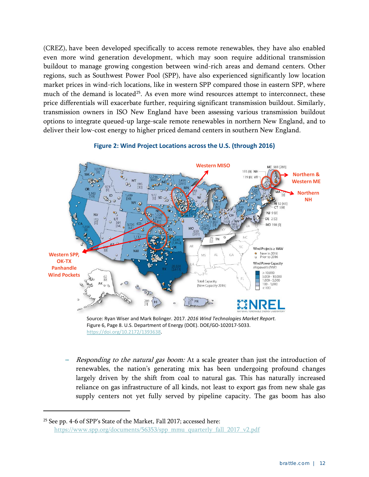(CREZ), have been developed specifically to access remote renewables, they have also enabled even more wind generation development, which may soon require additional transmission buildout to manage growing congestion between wind-rich areas and demand centers. Other regions, such as Southwest Power Pool (SPP), have also experienced significantly low location market prices in wind-rich locations, like in western SPP compared those in eastern SPP, where much of the demand is located<sup>[25](#page-13-0)</sup>. As even more wind resources attempt to interconnect, these price differentials will exacerbate further, requiring significant transmission buildout. Similarly, transmission owners in ISO New England have been assessing various transmission buildout options to integrate queued-up large-scale remote renewables in northern New England, and to deliver their low-cost energy to higher priced demand centers in southern New England.



#### **Figure 2: Wind Project Locations across the U.S. (through 2016)**

Figure 6, Page 8. U.S. Department of Energy (DOE). DOE/GO-102017-5033. [https://doi.org/10.2172/1393638.](https://doi.org/10.2172/1393638)

Responding to the natural gas boom: At a scale greater than just the introduction of renewables, the nation's generating mix has been undergoing profound changes largely driven by the shift from coal to natural gas. This has naturally increased reliance on gas infrastructure of all kinds, not least to export gas from new shale gas supply centers not yet fully served by pipeline capacity. The gas boom has also

<span id="page-13-0"></span><sup>25</sup> See pp. 4-6 of SPP's State of the Market, Fall 2017; accessed here: [https://www.spp.org/documents/56353/spp\\_mmu\\_quarterly\\_fall\\_2017\\_v2.pdf](https://www.spp.org/documents/56353/spp_mmu_quarterly_fall_2017_v2.pdf)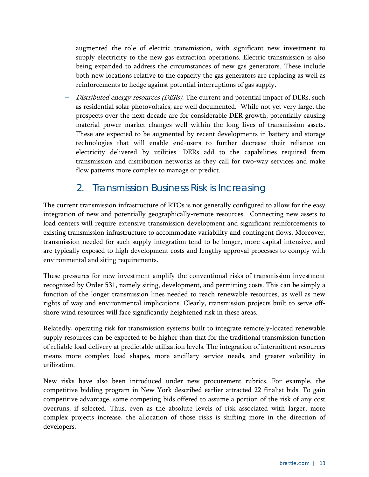augmented the role of electric transmission, with significant new investment to supply electricity to the new gas extraction operations. Electric transmission is also being expanded to address the circumstances of new gas generators. These include both new locations relative to the capacity the gas generators are replacing as well as reinforcements to hedge against potential interruptions of gas supply.

**--** Distributed energy resources (DERs): The current and potential impact of DERs, such as residential solar photovoltaics, are well documented. While not yet very large, the prospects over the next decade are for considerable DER growth, potentially causing material power market changes well within the long lives of transmission assets. These are expected to be augmented by recent developments in battery and storage technologies that will enable end-users to further decrease their reliance on electricity delivered by utilities. DERs add to the capabilities required from transmission and distribution networks as they call for two-way services and make flow patterns more complex to manage or predict.

#### 2. Transmission Business Risk is Increasing

The current transmission infrastructure of RTOs is not generally configured to allow for the easy integration of new and potentially geographically-remote resources. Connecting new assets to load centers will require extensive transmission development and significant reinforcements to existing transmission infrastructure to accommodate variability and contingent flows. Moreover, transmission needed for such supply integration tend to be longer, more capital intensive, and are typically exposed to high development costs and lengthy approval processes to comply with environmental and siting requirements.

These pressures for new investment amplify the conventional risks of transmission investment recognized by Order 531, namely siting, development, and permitting costs. This can be simply a function of the longer transmission lines needed to reach renewable resources, as well as new rights of way and environmental implications. Clearly, transmission projects built to serve offshore wind resources will face significantly heightened risk in these areas.

Relatedly, operating risk for transmission systems built to integrate remotely-located renewable supply resources can be expected to be higher than that for the traditional transmission function of reliable load delivery at predictable utilization levels. The integration of intermittent resources means more complex load shapes, more ancillary service needs, and greater volatility in utilization.

New risks have also been introduced under new procurement rubrics. For example, the competitive bidding program in New York described earlier attracted 22 finalist bids. To gain competitive advantage, some competing bids offered to assume a portion of the risk of any cost overruns, if selected. Thus, even as the absolute levels of risk associated with larger, more complex projects increase, the allocation of those risks is shifting more in the direction of developers.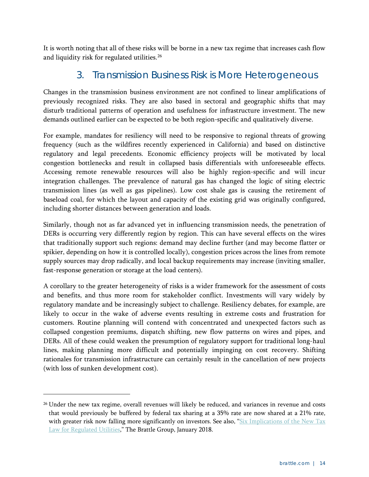It is worth noting that all of these risks will be borne in a new tax regime that increases cash flow and liquidity risk for regulated utilities.<sup>26</sup>

#### 3. Transmission Business Risk is More Heterogeneous

Changes in the transmission business environment are not confined to linear amplifications of previously recognized risks. They are also based in sectoral and geographic shifts that may disturb traditional patterns of operation and usefulness for infrastructure investment. The new demands outlined earlier can be expected to be both region-specific and qualitatively diverse.

For example, mandates for resiliency will need to be responsive to regional threats of growing frequency (such as the wildfires recently experienced in California) and based on distinctive regulatory and legal precedents. Economic efficiency projects will be motivated by local congestion bottlenecks and result in collapsed basis differentials with unforeseeable effects. Accessing remote renewable resources will also be highly region-specific and will incur integration challenges. The prevalence of natural gas has changed the logic of siting electric transmission lines (as well as gas pipelines). Low cost shale gas is causing the retirement of baseload coal, for which the layout and capacity of the existing grid was originally configured, including shorter distances between generation and loads.

Similarly, though not as far advanced yet in influencing transmission needs, the penetration of DERs is occurring very differently region by region. This can have several effects on the wires that traditionally support such regions: demand may decline further (and may become flatter or spikier, depending on how it is controlled locally), congestion prices across the lines from remote supply sources may drop radically, and local backup requirements may increase (inviting smaller, fast-response generation or storage at the load centers).

A corollary to the greater heterogeneity of risks is a wider framework for the assessment of costs and benefits, and thus more room for stakeholder conflict. Investments will vary widely by regulatory mandate and be increasingly subject to challenge. Resiliency debates, for example, are likely to occur in the wake of adverse events resulting in extreme costs and frustration for customers. Routine planning will contend with concentrated and unexpected factors such as collapsed congestion premiums, dispatch shifting, new flow patterns on wires and pipes, and DERs. All of these could weaken the presumption of regulatory support for traditional long-haul lines, making planning more difficult and potentially impinging on cost recovery. Shifting rationales for transmission infrastructure can certainly result in the cancellation of new projects (with loss of sunken development cost).

<span id="page-15-0"></span><sup>&</sup>lt;sup>26</sup> Under the new tax regime, overall revenues will likely be reduced, and variances in revenue and costs that would previously be buffered by federal tax sharing at a 35% rate are now shared at a 21% rate, with greater risk now falling more significantly on investors. See also, " $Six Implications of the New Tax$ [Law for Regulated Utilities,](http://files.brattle.com/files/13011_six_implications_of_the_new_tax_law_for_regulated_utilities.pdf)" The Brattle Group, January 2018.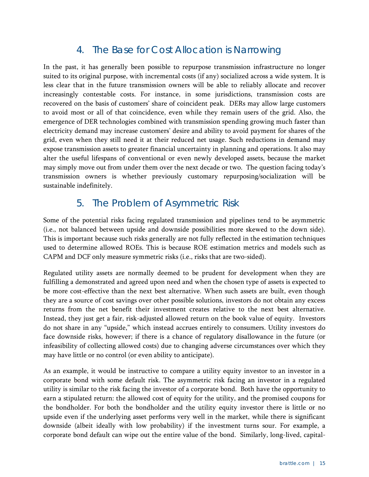#### 4. The Base for Cost Allocation is Narrowing

In the past, it has generally been possible to repurpose transmission infrastructure no longer suited to its original purpose, with incremental costs (if any) socialized across a wide system. It is less clear that in the future transmission owners will be able to reliably allocate and recover increasingly contestable costs. For instance, in some jurisdictions, transmission costs are recovered on the basis of customers' share of coincident peak. DERs may allow large customers to avoid most or all of that coincidence, even while they remain users of the grid. Also, the emergence of DER technologies combined with transmission spending growing much faster than electricity demand may increase customers' desire and ability to avoid payment for shares of the grid, even when they still need it at their reduced net usage. Such reductions in demand may expose transmission assets to greater financial uncertainty in planning and operations. It also may alter the useful lifespans of conventional or even newly developed assets, because the market may simply move out from under them over the next decade or two. The question facing today's transmission owners is whether previously customary repurposing/socialization will be sustainable indefinitely.

#### 5. The Problem of Asymmetric Risk

Some of the potential risks facing regulated transmission and pipelines tend to be asymmetric (i.e., not balanced between upside and downside possibilities more skewed to the down side). This is important because such risks generally are not fully reflected in the estimation techniques used to determine allowed ROEs. This is because ROE estimation metrics and models such as CAPM and DCF only measure symmetric risks (i.e., risks that are two-sided).

Regulated utility assets are normally deemed to be prudent for development when they are fulfilling a demonstrated and agreed upon need and when the chosen type of assets is expected to be more cost-effective than the next best alternative. When such assets are built, even though they are a source of cost savings over other possible solutions, investors do not obtain any excess returns from the net benefit their investment creates relative to the next best alternative. Instead, they just get a fair, risk-adjusted allowed return on the book value of equity. Investors do not share in any "upside," which instead accrues entirely to consumers. Utility investors do face downside risks, however; if there is a chance of regulatory disallowance in the future (or infeasibility of collecting allowed costs) due to changing adverse circumstances over which they may have little or no control (or even ability to anticipate).

As an example, it would be instructive to compare a utility equity investor to an investor in a corporate bond with some default risk. The asymmetric risk facing an investor in a regulated utility is similar to the risk facing the investor of a corporate bond. Both have the opportunity to earn a stipulated return: the allowed cost of equity for the utility, and the promised coupons for the bondholder. For both the bondholder and the utility equity investor there is little or no upside even if the underlying asset performs very well in the market, while there is significant downside (albeit ideally with low probability) if the investment turns sour. For example, a corporate bond default can wipe out the entire value of the bond. Similarly, long-lived, capital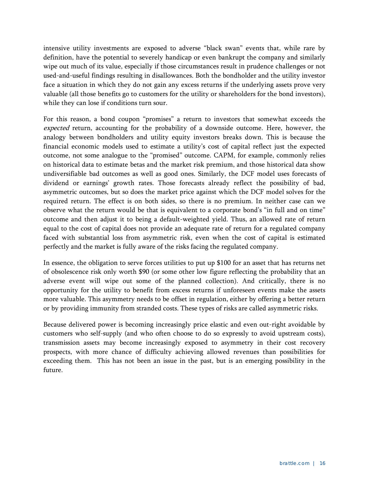intensive utility investments are exposed to adverse "black swan" events that, while rare by definition, have the potential to severely handicap or even bankrupt the company and similarly wipe out much of its value, especially if those circumstances result in prudence challenges or not used-and-useful findings resulting in disallowances. Both the bondholder and the utility investor face a situation in which they do not gain any excess returns if the underlying assets prove very valuable (all those benefits go to customers for the utility or shareholders for the bond investors), while they can lose if conditions turn sour.

For this reason, a bond coupon "promises" a return to investors that somewhat exceeds the expected return, accounting for the probability of a downside outcome. Here, however, the analogy between bondholders and utility equity investors breaks down. This is because the financial economic models used to estimate a utility's cost of capital reflect just the expected outcome, not some analogue to the "promised" outcome. CAPM, for example, commonly relies on historical data to estimate betas and the market risk premium, and those historical data show undiversifiable bad outcomes as well as good ones. Similarly, the DCF model uses forecasts of dividend or earnings' growth rates. Those forecasts already reflect the possibility of bad, asymmetric outcomes, but so does the market price against which the DCF model solves for the required return. The effect is on both sides, so there is no premium. In neither case can we observe what the return would be that is equivalent to a corporate bond's "in full and on time" outcome and then adjust it to being a default-weighted yield. Thus, an allowed rate of return equal to the cost of capital does not provide an adequate rate of return for a regulated company faced with substantial loss from asymmetric risk, even when the cost of capital is estimated perfectly and the market is fully aware of the risks facing the regulated company.

In essence, the obligation to serve forces utilities to put up \$100 for an asset that has returns net of obsolescence risk only worth \$90 (or some other low figure reflecting the probability that an adverse event will wipe out some of the planned collection). And critically, there is no opportunity for the utility to benefit from excess returns if unforeseen events make the assets more valuable. This asymmetry needs to be offset in regulation, either by offering a better return or by providing immunity from stranded costs. These types of risks are called asymmetric risks.

Because delivered power is becoming increasingly price elastic and even out-right avoidable by customers who self-supply (and who often choose to do so expressly to avoid upstream costs), transmission assets may become increasingly exposed to asymmetry in their cost recovery prospects, with more chance of difficulty achieving allowed revenues than possibilities for exceeding them. This has not been an issue in the past, but is an emerging possibility in the future.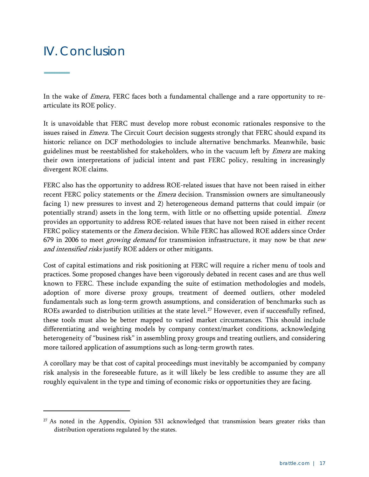## IV. Conclusion

**–––––**

 $\overline{a}$ 

In the wake of Emera, FERC faces both a fundamental challenge and a rare opportunity to rearticulate its ROE policy.

It is unavoidable that FERC must develop more robust economic rationales responsive to the issues raised in *Emera*. The Circuit Court decision suggests strongly that FERC should expand its historic reliance on DCF methodologies to include alternative benchmarks. Meanwhile, basic guidelines must be reestablished for stakeholders, who in the vacuum left by *Emera* are making their own interpretations of judicial intent and past FERC policy, resulting in increasingly divergent ROE claims.

FERC also has the opportunity to address ROE-related issues that have not been raised in either recent FERC policy statements or the *Emera* decision. Transmission owners are simultaneously facing 1) new pressures to invest and 2) heterogeneous demand patterns that could impair (or potentially strand) assets in the long term, with little or no offsetting upside potential. Emera provides an opportunity to address ROE-related issues that have not been raised in either recent FERC policy statements or the *Emera* decision. While FERC has allowed ROE adders since Order 679 in 2006 to meet *growing demand* for transmission infrastructure, it may now be that *new* and intensified risks justify ROE adders or other mitigants.

Cost of capital estimations and risk positioning at FERC will require a richer menu of tools and practices. Some proposed changes have been vigorously debated in recent cases and are thus well known to FERC. These include expanding the suite of estimation methodologies and models, adoption of more diverse proxy groups, treatment of deemed outliers, other modeled fundamentals such as long-term growth assumptions, and consideration of benchmarks such as ROEs awarded to distribution utilities at the state level.<sup>[27](#page-18-0)</sup> However, even if successfully refined, these tools must also be better mapped to varied market circumstances. This should include differentiating and weighting models by company context/market conditions, acknowledging heterogeneity of "business risk" in assembling proxy groups and treating outliers, and considering more tailored application of assumptions such as long-term growth rates.

A corollary may be that cost of capital proceedings must inevitably be accompanied by company risk analysis in the foreseeable future, as it will likely be less credible to assume they are all roughly equivalent in the type and timing of economic risks or opportunities they are facing.

<span id="page-18-0"></span><sup>&</sup>lt;sup>27</sup> As noted in the Appendix, Opinion 531 acknowledged that transmission bears greater risks than distribution operations regulated by the states.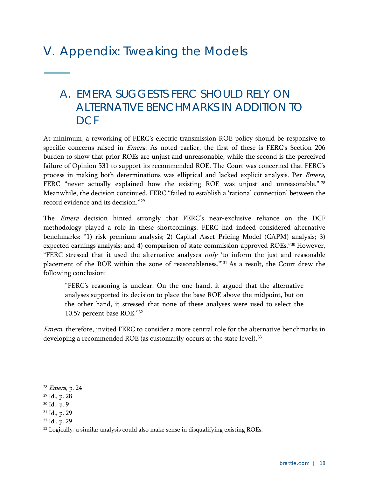# V. Appendix: Tweaking the Models

## A. *EMERA* SUGGESTS FERC SHOULD RELY ON ALTERNATIVE BENCHMARKS IN ADDITION TO D<sub>CF</sub>

At minimum, a reworking of FERC's electric transmission ROE policy should be responsive to specific concerns raised in *Emera*. As noted earlier, the first of these is FERC's Section 206 burden to show that prior ROEs are unjust and unreasonable, while the second is the perceived failure of Opinion 531 to support its recommended ROE. The Court was concerned that FERC's process in making both determinations was elliptical and lacked explicit analysis. Per Emera, FERC "never actually explained how the existing ROE was unjust and unreasonable." <sup>[28](#page-19-0)</sup> Meanwhile, the decision continued, FERC "failed to establish a 'rational connection' between the record evidence and its decision."[29](#page-19-1)

The *Emera* decision hinted strongly that FERC's near-exclusive reliance on the DCF methodology played a role in these shortcomings. FERC had indeed considered alternative benchmarks: "1) risk premium analysis; 2) Capital Asset Pricing Model (CAPM) analysis; 3) expected earnings analysis; and 4) comparison of state commission-approved ROEs."[30](#page-19-2) However, "FERC stressed that it used the alternative analyses only 'to inform the just and reasonable placement of the ROE within the zone of reasonableness.'"[31](#page-19-3) As a result, the Court drew the following conclusion:

"FERC's reasoning is unclear. On the one hand, it argued that the alternative analyses supported its decision to place the base ROE above the midpoint, but on the other hand, it stressed that none of these analyses were used to select the 10.57 percent base ROE."[32](#page-19-4)

Emera, therefore, invited FERC to consider a more central role for the alternative benchmarks in developing a recommended ROE (as customarily occurs at the state level).<sup>[33](#page-19-5)</sup>

**–––––**

<span id="page-19-0"></span> <sup>28</sup> Emera, p. 24

<span id="page-19-1"></span><sup>29</sup> Id., p. 28

<span id="page-19-2"></span><sup>30</sup> Id., p. 9

<span id="page-19-3"></span><sup>31</sup> Id., p. 29

<span id="page-19-4"></span><sup>32</sup> Id., p. 29

<span id="page-19-5"></span><sup>&</sup>lt;sup>33</sup> Logically, a similar analysis could also make sense in disqualifying existing ROEs.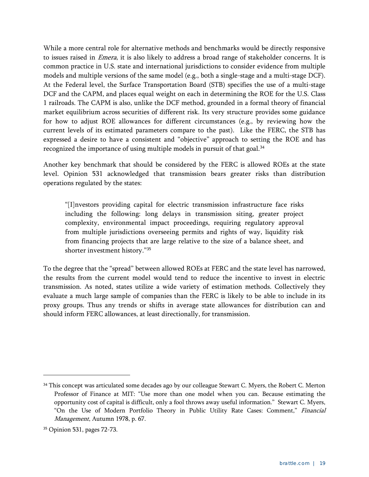While a more central role for alternative methods and benchmarks would be directly responsive to issues raised in Emera, it is also likely to address a broad range of stakeholder concerns. It is common practice in U.S. state and international jurisdictions to consider evidence from multiple models and multiple versions of the same model (e.g., both a single-stage and a multi-stage DCF). At the Federal level, the Surface Transportation Board (STB) specifies the use of a multi-stage DCF and the CAPM, and places equal weight on each in determining the ROE for the U.S. Class 1 railroads. The CAPM is also, unlike the DCF method, grounded in a formal theory of financial market equilibrium across securities of different risk. Its very structure provides some guidance for how to adjust ROE allowances for different circumstances (e.g., by reviewing how the current levels of its estimated parameters compare to the past). Like the FERC, the STB has expressed a desire to have a consistent and "objective" approach to setting the ROE and has recognized the importance of using multiple models in pursuit of that goal.<sup>[34](#page-20-0)</sup>

Another key benchmark that should be considered by the FERC is allowed ROEs at the state level. Opinion 531 acknowledged that transmission bears greater risks than distribution operations regulated by the states:

"[I]nvestors providing capital for electric transmission infrastructure face risks including the following: long delays in transmission siting, greater project complexity, environmental impact proceedings, requiring regulatory approval from multiple jurisdictions overseeing permits and rights of way, liquidity risk from financing projects that are large relative to the size of a balance sheet, and shorter investment history."[35](#page-20-1)

To the degree that the "spread" between allowed ROEs at FERC and the state level has narrowed, the results from the current model would tend to reduce the incentive to invest in electric transmission. As noted, states utilize a wide variety of estimation methods. Collectively they evaluate a much large sample of companies than the FERC is likely to be able to include in its proxy groups. Thus any trends or shifts in average state allowances for distribution can and should inform FERC allowances, at least directionally, for transmission.

<span id="page-20-0"></span><sup>&</sup>lt;sup>34</sup> This concept was articulated some decades ago by our colleague Stewart C. Myers, the Robert C. Merton Professor of Finance at MIT: "Use more than one model when you can. Because estimating the opportunity cost of capital is difficult, only a fool throws away useful information." Stewart C. Myers, "On the Use of Modern Portfolio Theory in Public Utility Rate Cases: Comment," Financial Management, Autumn 1978, p. 67.

<span id="page-20-1"></span><sup>35</sup> Opinion 531, pages 72-73.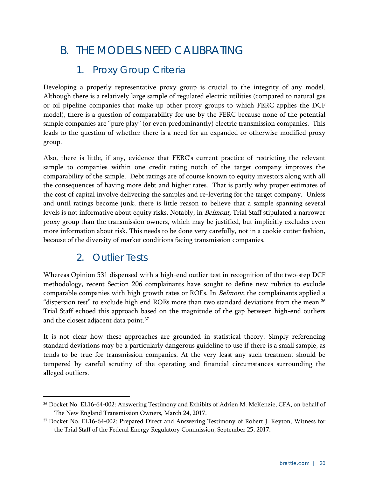## B. THE MODELS NEED CALIBRATING

### 1. Proxy Group Criteria

Developing a properly representative proxy group is crucial to the integrity of any model. Although there is a relatively large sample of regulated electric utilities (compared to natural gas or oil pipeline companies that make up other proxy groups to which FERC applies the DCF model), there is a question of comparability for use by the FERC because none of the potential sample companies are "pure play" (or even predominantly) electric transmission companies. This leads to the question of whether there is a need for an expanded or otherwise modified proxy group.

Also, there is little, if any, evidence that FERC's current practice of restricting the relevant sample to companies within one credit rating notch of the target company improves the comparability of the sample. Debt ratings are of course known to equity investors along with all the consequences of having more debt and higher rates. That is partly why proper estimates of the cost of capital involve delivering the samples and re-levering for the target company. Unless and until ratings become junk, there is little reason to believe that a sample spanning several levels is not informative about equity risks. Notably, in *Belmont*, Trial Staff stipulated a narrower proxy group than the transmission owners, which may be justified, but implicitly excludes even more information about risk. This needs to be done very carefully, not in a cookie cutter fashion, because of the diversity of market conditions facing transmission companies.

#### 2. Outlier Tests

Whereas Opinion 531 dispensed with a high-end outlier test in recognition of the two-step DCF methodology, recent Section 206 complainants have sought to define new rubrics to exclude comparable companies with high growth rates or ROEs. In *Belmont*, the complainants applied a "dispersion test" to exclude high end ROEs more than two standard deviations from the mean.<sup>[36](#page-21-0)</sup> Trial Staff echoed this approach based on the magnitude of the gap between high-end outliers and the closest adjacent data point.<sup>[37](#page-21-1)</sup>

It is not clear how these approaches are grounded in statistical theory. Simply referencing standard deviations may be a particularly dangerous guideline to use if there is a small sample, as tends to be true for transmission companies. At the very least any such treatment should be tempered by careful scrutiny of the operating and financial circumstances surrounding the alleged outliers.

<span id="page-21-0"></span> <sup>36</sup> Docket No. EL16-64-002: Answering Testimony and Exhibits of Adrien M. McKenzie, CFA, on behalf of The New England Transmission Owners, March 24, 2017.

<span id="page-21-1"></span><sup>37</sup> Docket No. EL16-64-002: Prepared Direct and Answering Testimony of Robert J. Keyton, Witness for the Trial Staff of the Federal Energy Regulatory Commission, September 25, 2017.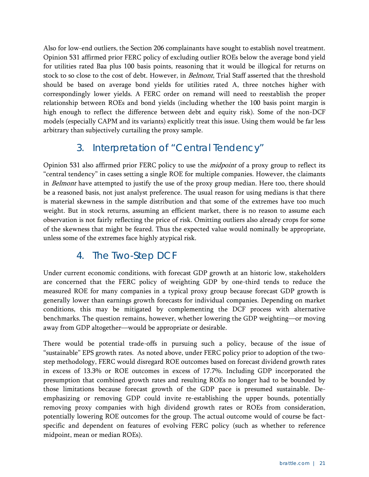Also for low-end outliers, the Section 206 complainants have sought to establish novel treatment. Opinion 531 affirmed prior FERC policy of excluding outlier ROEs below the average bond yield for utilities rated Baa plus 100 basis points, reasoning that it would be illogical for returns on stock to so close to the cost of debt. However, in Belmont, Trial Staff asserted that the threshold should be based on average bond yields for utilities rated A, three notches higher with correspondingly lower yields. A FERC order on remand will need to reestablish the proper relationship between ROEs and bond yields (including whether the 100 basis point margin is high enough to reflect the difference between debt and equity risk). Some of the non-DCF models (especially CAPM and its variants) explicitly treat this issue. Using them would be far less arbitrary than subjectively curtailing the proxy sample.

#### 3. Interpretation of "Central Tendency"

Opinion 531 also affirmed prior FERC policy to use the *midpoint* of a proxy group to reflect its "central tendency" in cases setting a single ROE for multiple companies. However, the claimants in *Belmont* have attempted to justify the use of the proxy group median. Here too, there should be a reasoned basis, not just analyst preference. The usual reason for using medians is that there is material skewness in the sample distribution and that some of the extremes have too much weight. But in stock returns, assuming an efficient market, there is no reason to assume each observation is not fairly reflecting the price of risk. Omitting outliers also already crops for some of the skewness that might be feared. Thus the expected value would nominally be appropriate, unless some of the extremes face highly atypical risk.

#### 4. The Two-Step DCF

Under current economic conditions, with forecast GDP growth at an historic low, stakeholders are concerned that the FERC policy of weighting GDP by one-third tends to reduce the measured ROE for many companies in a typical proxy group because forecast GDP growth is generally lower than earnings growth forecasts for individual companies. Depending on market conditions, this may be mitigated by complementing the DCF process with alternative benchmarks. The question remains, however, whether lowering the GDP weighting—or moving away from GDP altogether—would be appropriate or desirable.

There would be potential trade-offs in pursuing such a policy, because of the issue of "sustainable" EPS growth rates. As noted above, under FERC policy prior to adoption of the twostep methodology, FERC would disregard ROE outcomes based on forecast dividend growth rates in excess of 13.3% or ROE outcomes in excess of 17.7%. Including GDP incorporated the presumption that combined growth rates and resulting ROEs no longer had to be bounded by those limitations because forecast growth of the GDP pace is presumed sustainable. Deemphasizing or removing GDP could invite re-establishing the upper bounds, potentially removing proxy companies with high dividend growth rates or ROEs from consideration, potentially lowering ROE outcomes for the group. The actual outcome would of course be factspecific and dependent on features of evolving FERC policy (such as whether to reference midpoint, mean or median ROEs).